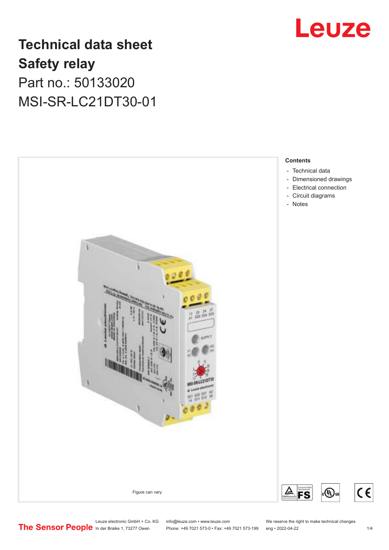# Leuze

# **Technical data sheet Safety relay** Part no.: 50133020 MSI-SR-LC21DT30-01



Leuze electronic GmbH + Co. KG info@leuze.com • www.leuze.com We reserve the right to make technical changes<br>
The Sensor People in der Braike 1, 73277 Owen Phone: +49 7021 573-0 • Fax: +49 7021 573-199 eng • 2022-04-22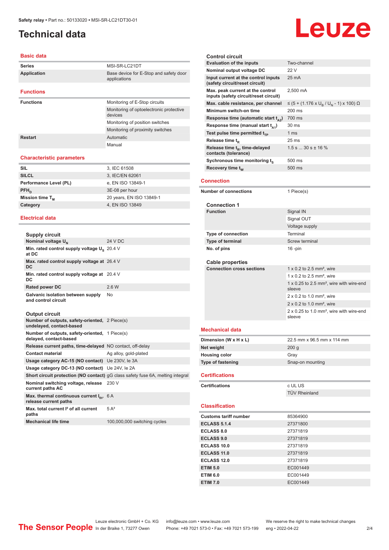# <span id="page-1-0"></span>**Technical data**

#### **Basic data**

| <b>Series</b>      | MSI-SR-LC21DT                                          |
|--------------------|--------------------------------------------------------|
| <b>Application</b> | Base device for E-Stop and safety door<br>applications |
| <b>Functions</b>   |                                                        |
| <b>Functions</b>   | Monitoring of E-Stop circuits                          |
|                    | Monitoring of optoelectronic protective<br>devices     |
|                    | Monitoring of position switches                        |
|                    | Monitoring of proximity switches                       |
| Restart            | Automatic                                              |
|                    | Manual                                                 |

#### **Characteristic parameters**

| <b>SIL</b>             | 3, IEC 61508             |
|------------------------|--------------------------|
| <b>SILCL</b>           | 3, IEC/EN 62061          |
| Performance Level (PL) | e, EN ISO 13849-1        |
| $PFH_n$                | 3E-08 per hour           |
| Mission time $T_{M}$   | 20 years, EN ISO 13849-1 |
| Category               | 4, EN ISO 13849          |
|                        |                          |

#### **Electrical data**

| Supply circuit                                                             |         |
|----------------------------------------------------------------------------|---------|
| Nominal voltage U <sub>N</sub>                                             | 24 V DC |
| Min. rated control supply voltage U <sub>s</sub> 20.4 V<br>at DC           |         |
| Max. rated control supply voltage at 26.4 V<br>DC                          |         |
| Min. rated control supply voltage at<br>DC                                 | 20.4 V  |
| Rated power DC                                                             | 2.6 W   |
| Galvanic isolation between supply<br>and control circuit                   | No      |
| <b>Output circuit</b>                                                      |         |
| Number of outputs, safety-oriented, 2 Piece(s)<br>undelayed, contact-based |         |
| Number of outputs, safety-oriented, 1 Piece(s)                             |         |

| delayed, contact-based                                                  |                                                                                        |
|-------------------------------------------------------------------------|----------------------------------------------------------------------------------------|
| Release current paths, time-delayed NO contact, off-delay               |                                                                                        |
| <b>Contact material</b>                                                 | Ag alloy, gold-plated                                                                  |
| Usage category AC-15 (NO contact) Ue 230V, le 3A                        |                                                                                        |
| Usage category DC-13 (NO contact) Ue 24V, le 2A                         |                                                                                        |
|                                                                         | <b>Short circuit protection (NO contact)</b> qG class safety fuse 6A, melting integral |
| Nominal switching voltage, release 230 V<br>current paths AC            |                                                                                        |
| Max. thermal continuous current $I_{in}$ , 6 A<br>release current paths |                                                                                        |
| Max, total current <sup>2</sup> of all current<br>paths                 | $5A^2$                                                                                 |
| <b>Mechanical life time</b>                                             | 100,000,000 switching cycles                                                           |

| <b>Control circuit</b>                                                    |                                                                |
|---------------------------------------------------------------------------|----------------------------------------------------------------|
| <b>Evaluation of the inputs</b>                                           | Two-channel                                                    |
| Nominal output voltage DC                                                 | 22 V                                                           |
| Input current at the control inputs                                       | 25 mA                                                          |
| (safety circuit/reset circuit)                                            |                                                                |
| Max. peak current at the control<br>inputs (safety circuit/reset circuit) | 2.500 mA                                                       |
| Max. cable resistance, per channel                                        | ≤ (5 + (1.176 x U <sub>R</sub> / U <sub>N</sub> - 1) x 100) Ω  |
| Minimum switch-on time                                                    | 200 ms                                                         |
| Response time (automatic start $t_{\alpha 2}$ )                           | 700 ms                                                         |
| Response time (manual start $t_{44}$ )                                    | 30 ms                                                          |
| Test pulse time permitted $t_{\text{to}}$                                 | 1 <sub>ms</sub>                                                |
| Release time $t_{p}$                                                      | 25 <sub>ms</sub>                                               |
| Release time t <sub>R</sub> , time-delayed<br>contacts (tolerance)        | $1.5 s 30 s \pm 16 \%$                                         |
| Sychronous time monitoring ts                                             | 500 ms                                                         |
| Recovery time $t_w$                                                       | 500 ms                                                         |
| <b>Connection</b>                                                         |                                                                |
| <b>Number of connections</b>                                              | 1 Piece(s)                                                     |
|                                                                           |                                                                |
| <b>Connection 1</b>                                                       |                                                                |
| <b>Function</b>                                                           | Signal IN                                                      |
|                                                                           | Signal OUT                                                     |
|                                                                           | Voltage supply                                                 |
| <b>Type of connection</b>                                                 | Terminal                                                       |
| Type of terminal                                                          | <b>Screw terminal</b>                                          |
| No. of pins                                                               | $16$ -pin                                                      |
|                                                                           |                                                                |
|                                                                           |                                                                |
| Cable properties                                                          |                                                                |
| <b>Connection cross sections</b>                                          | 1 $\times$ 0.2 to 2.5 mm <sup>2</sup> , wire                   |
|                                                                           | 1 x 0.2 to 2.5 mm <sup>2</sup> , wire                          |
|                                                                           | 1 x 0.25 to 2.5 mm <sup>2</sup> , wire with wire-end<br>sleeve |
|                                                                           | $2 \times 0.2$ to 1.0 mm <sup>2</sup> , wire                   |
|                                                                           | $2 \times 0.2$ to 1.0 mm <sup>2</sup> , wire                   |
|                                                                           | 2 x 0.25 to 1.0 mm <sup>2</sup> , wire with wire-end           |
|                                                                           | sleeve                                                         |
|                                                                           |                                                                |
| <b>Mechanical data</b>                                                    |                                                                |
| Dimension (W x H x L)                                                     | 22.5 mm x 96.5 mm x 114 mm                                     |
| Net weight                                                                | 200 <sub>g</sub>                                               |
| <b>Housing color</b>                                                      | Gray                                                           |
| <b>Type of fastening</b>                                                  | Snap-on mounting                                               |
| <b>Certifications</b>                                                     |                                                                |
| <b>Certifications</b>                                                     | c UL US                                                        |
|                                                                           | <b>TÜV Rheinland</b>                                           |
|                                                                           |                                                                |
| <b>Classification</b>                                                     |                                                                |
| <b>Customs tariff number</b>                                              | 85364900                                                       |
| <b>ECLASS 5.1.4</b>                                                       | 27371800                                                       |
| <b>ECLASS 8.0</b>                                                         | 27371819                                                       |
| <b>ECLASS 9.0</b>                                                         | 27371819                                                       |
| <b>ECLASS 10.0</b>                                                        | 27371819                                                       |
| <b>ECLASS 11.0</b><br><b>ECLASS 12.0</b>                                  | 27371819                                                       |

|                        | <b>SIGGAG</b>              |
|------------------------|----------------------------|
| <b>Mechanical data</b> |                            |
| Dimension (W x H x L)  | 22.5 mm x 96.5 mm x 114 mm |
| Net weight             | 200 <sub>g</sub>           |
| <b>Housing color</b>   | Gray                       |
| Type of fastening      | Snap-on mounting           |
| <b>Certifications</b>  |                            |

# **Certifications** c UL US

### **Classification**

| <b>Customs tariff number</b> | 85364900 |
|------------------------------|----------|
| <b>ECLASS 5.1.4</b>          | 27371800 |
| <b>ECLASS 8.0</b>            | 27371819 |
| <b>ECLASS 9.0</b>            | 27371819 |
| <b>ECLASS 10.0</b>           | 27371819 |
| <b>ECLASS 11.0</b>           | 27371819 |
| <b>ECLASS 12.0</b>           | 27371819 |
| <b>ETIM 5.0</b>              | EC001449 |
| <b>ETIM 6.0</b>              | EC001449 |
| <b>ETIM 7.0</b>              | EC001449 |
|                              |          |

Leuze electronic GmbH + Co. KG info@leuze.com • www.leuze.com We reserve the right to make technical changes

In der Braike 1, 73277 Owen Phone: +49 7021 573-0 • Fax: +49 7021 573-199 eng • 2022-04-22 2 /4

# **Leuze**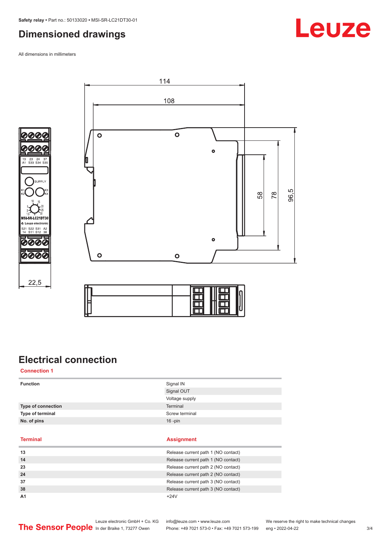### <span id="page-2-0"></span>**Dimensioned drawings**

All dimensions in millimeters









# **Electrical connection**

**Connection 1**

| <b>Function</b>    | Signal IN<br>Signal OUT<br>Voltage supply |
|--------------------|-------------------------------------------|
| Type of connection | Terminal                                  |
| Type of terminal   | Screw terminal                            |
| No. of pins        | $16$ -pin                                 |
|                    |                                           |
| <b>Terminal</b>    | <b>Assignment</b>                         |

| 13             | Release current path 1 (NO contact) |
|----------------|-------------------------------------|
| 14             | Release current path 1 (NO contact) |
| 23             | Release current path 2 (NO contact) |
| 24             | Release current path 2 (NO contact) |
| 37             | Release current path 3 (NO contact) |
| 38             | Release current path 3 (NO contact) |
| A <sub>1</sub> | $+24V$                              |